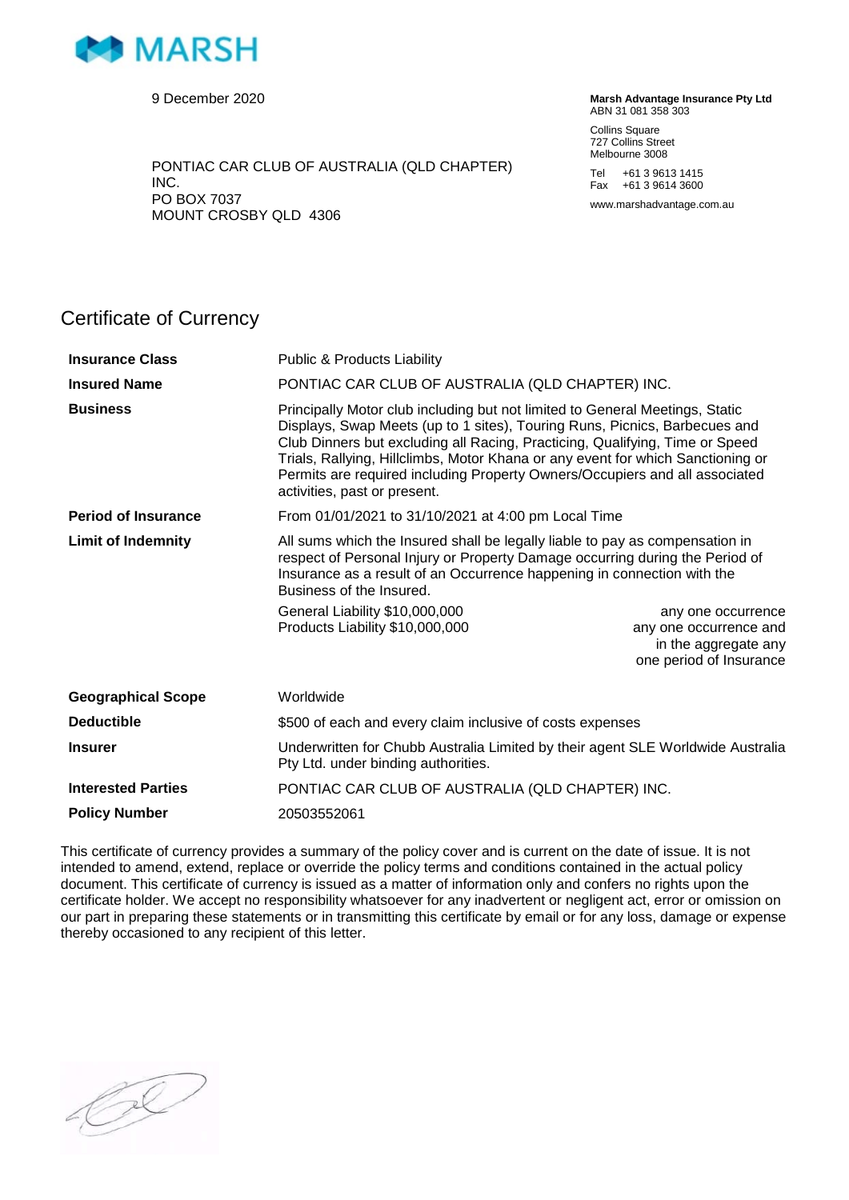

9 December 2020

PONTIAC CAR CLUB OF AUSTRALIA (QLD CHAPTER) INC. PO BOX 7037 MOUNT CROSBY QLD 4306

**Marsh Advantage Insurance Pty Ltd** ABN 31 081 358 303

Collins Square 727 Collins Street Melbourne 3008

Tel +61 3 9613 1415 Fax +61 3 9614 3600

www.marshadvantage.com.au

## Certificate of Currency

| <b>Insurance Class</b>     | <b>Public &amp; Products Liability</b>                                                                                                                                                                                                                                                                                                                                                                                                       |                                                                                                 |
|----------------------------|----------------------------------------------------------------------------------------------------------------------------------------------------------------------------------------------------------------------------------------------------------------------------------------------------------------------------------------------------------------------------------------------------------------------------------------------|-------------------------------------------------------------------------------------------------|
| <b>Insured Name</b>        | PONTIAC CAR CLUB OF AUSTRALIA (QLD CHAPTER) INC.                                                                                                                                                                                                                                                                                                                                                                                             |                                                                                                 |
| <b>Business</b>            | Principally Motor club including but not limited to General Meetings, Static<br>Displays, Swap Meets (up to 1 sites), Touring Runs, Picnics, Barbecues and<br>Club Dinners but excluding all Racing, Practicing, Qualifying, Time or Speed<br>Trials, Rallying, Hillclimbs, Motor Khana or any event for which Sanctioning or<br>Permits are required including Property Owners/Occupiers and all associated<br>activities, past or present. |                                                                                                 |
| <b>Period of Insurance</b> | From 01/01/2021 to 31/10/2021 at 4:00 pm Local Time                                                                                                                                                                                                                                                                                                                                                                                          |                                                                                                 |
| <b>Limit of Indemnity</b>  | All sums which the Insured shall be legally liable to pay as compensation in<br>respect of Personal Injury or Property Damage occurring during the Period of<br>Insurance as a result of an Occurrence happening in connection with the<br>Business of the Insured.<br>General Liability \$10,000,000<br>Products Liability \$10,000,000                                                                                                     | any one occurrence<br>any one occurrence and<br>in the aggregate any<br>one period of Insurance |
| <b>Geographical Scope</b>  | Worldwide                                                                                                                                                                                                                                                                                                                                                                                                                                    |                                                                                                 |
| <b>Deductible</b>          | \$500 of each and every claim inclusive of costs expenses                                                                                                                                                                                                                                                                                                                                                                                    |                                                                                                 |
| <b>Insurer</b>             | Underwritten for Chubb Australia Limited by their agent SLE Worldwide Australia<br>Pty Ltd. under binding authorities.                                                                                                                                                                                                                                                                                                                       |                                                                                                 |
| <b>Interested Parties</b>  | PONTIAC CAR CLUB OF AUSTRALIA (QLD CHAPTER) INC.                                                                                                                                                                                                                                                                                                                                                                                             |                                                                                                 |
| <b>Policy Number</b>       | 20503552061                                                                                                                                                                                                                                                                                                                                                                                                                                  |                                                                                                 |

This certificate of currency provides a summary of the policy cover and is current on the date of issue. It is not intended to amend, extend, replace or override the policy terms and conditions contained in the actual policy document. This certificate of currency is issued as a matter of information only and confers no rights upon the certificate holder. We accept no responsibility whatsoever for any inadvertent or negligent act, error or omission on our part in preparing these statements or in transmitting this certificate by email or for any loss, damage or expense thereby occasioned to any recipient of this letter.

 $\oslash$